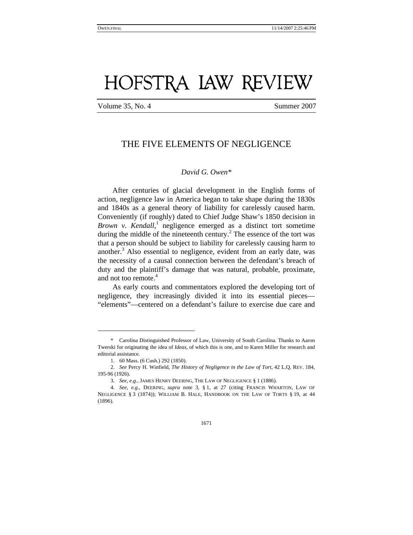# HOFSTRA LAW REVIEW

Volume 35, No. 4 Summer 2007

# THE FIVE ELEMENTS OF NEGLIGENCE

# *David G. Owen\**

After centuries of glacial development in the English forms of action, negligence law in America began to take shape during the 1830s and 1840s as a general theory of liability for carelessly caused harm. Conveniently (if roughly) dated to Chief Judge Shaw's 1850 decision in Brown v. Kendall,<sup>1</sup> negligence emerged as a distinct tort sometime during the middle of the nineteenth century.<sup>2</sup> The essence of the tort was that a person should be subject to liability for carelessly causing harm to another.<sup>3</sup> Also essential to negligence, evident from an early date, was the necessity of a causal connection between the defendant's breach of duty and the plaintiff's damage that was natural, probable, proximate, and not too remote.<sup>4</sup>

As early courts and commentators explored the developing tort of negligence, they increasingly divided it into its essential pieces— "elements"—centered on a defendant's failure to exercise due care and

-

 <sup>\*</sup> Carolina Distinguished Professor of Law, University of South Carolina. Thanks to Aaron Twerski for originating the idea of *Ideas*, of which this is one, and to Karen Miller for research and editorial assistance.

 <sup>1. 60</sup> Mass. (6 Cush.) 292 (1850).

<sup>2.</sup> *See* Percy H. Winfield, *The History of Negligence in the Law of Tort*, 42 L.Q. REV. 184, 195-96 (1926).

<sup>3.</sup> *See, e.g.*, JAMES HENRY DEERING, THE LAW OF NEGLIGENCE § 1 (1886).

<sup>4.</sup> *See, e.g.*, DEERING, *supra* note 3, § 1, at 27 (citing FRANCIS WHARTON, LAW OF NEGLIGENCE § 3 (1874)); WILLIAM B. HALE, HANDBOOK ON THE LAW OF TORTS § 19, at 44 (1896).

<sup>1671</sup>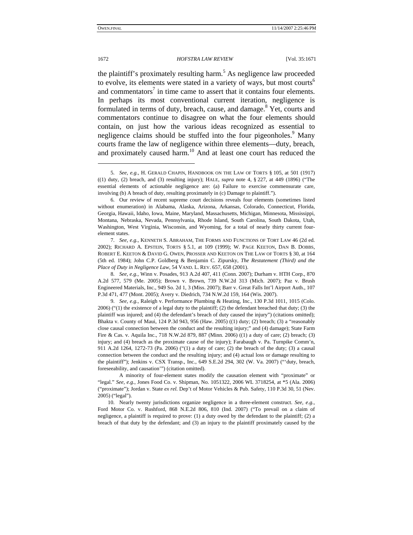#### 1672 *HOFSTRA LAW REVIEW* [Vol. 35:1671

the plaintiff's proximately resulting harm.<sup>5</sup> As negligence law proceeded to evolve, its elements were stated in a variety of ways, but most courts<sup>6</sup> and commentators<sup>7</sup> in time came to assert that it contains four elements. In perhaps its most conventional current iteration, negligence is formulated in terms of duty, breach, cause, and damage.<sup>8</sup> Yet, courts and commentators continue to disagree on what the four elements should contain, on just how the various ideas recognized as essential to negligence claims should be stuffed into the four pigeonholes.<sup>9</sup> Many courts frame the law of negligence within three elements—duty, breach, and proximately caused harm.<sup>10</sup> And at least one court has reduced the

 10. Nearly twenty jurisdictions organize negligence in a three-element construct. *See, e.g.*, Ford Motor Co. v. Rushford, 868 N.E.2d 806, 810 (Ind. 2007) ("To prevail on a claim of negligence, a plaintiff is required to prove: (1) a duty owed by the defendant to the plaintiff; (2) a breach of that duty by the defendant; and (3) an injury to the plaintiff proximately caused by the

<sup>5.</sup> *See, e.g.*, H. GERALD CHAPIN, HANDBOOK ON THE LAW OF TORTS § 105, at 501 (1917) ((1) duty, (2) breach, and (3) resulting injury); HALE, *supra* note 4, § 227, at 449 (1896) ("The essential elements of actionable negligence are: (a) Failure to exercise commensurate care, involving (b) A breach of duty, resulting proximately in (c) Damage to plaintiff.").

 <sup>6.</sup> Our review of recent supreme court decisions reveals four elements (sometimes listed without enumeration) in Alabama, Alaska, Arizona, Arkansas, Colorado, Connecticut, Florida, Georgia, Hawaii, Idaho, Iowa, Maine, Maryland, Massachusetts, Michigan, Minnesota, Mississippi, Montana, Nebraska, Nevada, Pennsylvania, Rhode Island, South Carolina, South Dakota, Utah, Washington, West Virginia, Wisconsin, and Wyoming, for a total of nearly thirty current fourelement states.

<sup>7.</sup> *See, e.g.*, KENNETH S. ABRAHAM, THE FORMS AND FUNCTIONS OF TORT LAW 46 (2d ed. 2002); RICHARD A. EPSTEIN, TORTS § 5.1, at 109 (1999); W. PAGE KEETON, DAN B. DOBBS, ROBERT E. KEETON & DAVID G. OWEN, PROSSER AND KEETON ON THE LAW OF TORTS § 30, at 164 (5th ed. 1984); John C.P. Goldberg & Benjamin C. Zipursky, *The Restatement (Third) and the Place of Duty in Negligence Law*, 54 VAND. L. REV. 657, 658 (2001).

<sup>8.</sup> *See, e.g.*, Winn v. Posades, 913 A.2d 407, 411 (Conn. 2007); Durham v. HTH Corp., 870 A.2d 577, 579 (Me. 2005); Brown v. Brown, 739 N.W.2d 313 (Mich. 2007); Paz v. Brush Engineered Materials, Inc., 949 So. 2d 1, 3 (Miss. 2007); Barr v. Great Falls Int'l Airport Auth., 107 P.3d 471, 477 (Mont. 2005); Avery v. Diedrich, 734 N.W.2d 159, 164 (Wis. 2007).

<sup>9.</sup> *See, e.g.*, Raleigh v. Performance Plumbing & Heating, Inc., 130 P.3d 1011, 1015 (Colo. 2006) ("(1) the existence of a legal duty to the plaintiff; (2) the defendant breached that duty; (3) the plaintiff was injured; and (4) the defendant's breach of duty caused the injury") (citations omitted); Bhakta v. County of Maui, 124 P.3d 943, 956 (Haw. 2005) ((1) duty; (2) breach; (3) a "reasonably close causal connection between the conduct and the resulting injury;" and (4) damage); State Farm Fire & Cas. v. Aquila Inc., 718 N.W.2d 879, 887 (Minn. 2006) ((1) a duty of care; (2) breach; (3) injury; and (4) breach as the proximate cause of the injury); Farabaugh v. Pa. Turnpike Comm'n, 911 A.2d 1264, 1272-73 (Pa. 2006) ("(1) a duty of care; (2) the breach of the duty; (3) a causal connection between the conduct and the resulting injury; and (4) actual loss or damage resulting to the plaintiff"); Jenkins v. CSX Transp., Inc., 649 S.E.2d 294, 302 (W. Va. 2007) ("'duty, breach, foreseeability, and causation'") (citation omitted).

A minority of four-element states modify the causation element with "proximate" or "legal." *See, e.g.*, Jones Food Co. v. Shipman, No. 1051322, 2006 WL 3718254, at \*5 (Ala. 2006) ("proximate"); Jordan v. State *ex rel.* Dep't of Motor Vehicles & Pub. Safety, 110 P.3d 30, 51 (Nev. 2005) ("legal").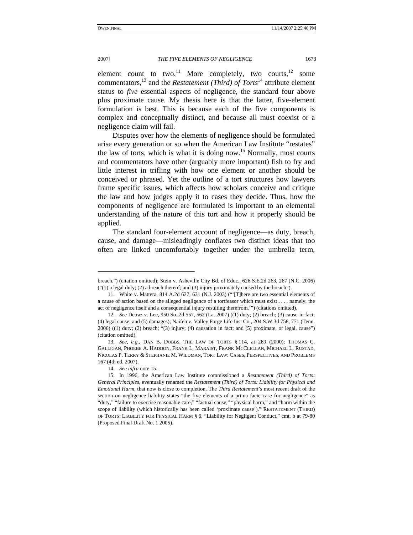2007] *THE FIVE ELEMENTS OF NEGLIGENCE* 1673

element count to two.<sup>11</sup> More completely, two courts,<sup>12</sup> some commentators,<sup>13</sup> and the *Restatement (Third) of Torts*<sup>14</sup> attribute element status to *five* essential aspects of negligence, the standard four above plus proximate cause. My thesis here is that the latter, five-element formulation is best. This is because each of the five components is complex and conceptually distinct, and because all must coexist or a negligence claim will fail.

Disputes over how the elements of negligence should be formulated arise every generation or so when the American Law Institute "restates" the law of torts, which is what it is doing now.<sup>15</sup> Normally, most courts and commentators have other (arguably more important) fish to fry and little interest in trifling with how one element or another should be conceived or phrased. Yet the outline of a tort structures how lawyers frame specific issues, which affects how scholars conceive and critique the law and how judges apply it to cases they decide. Thus, how the components of negligence are formulated is important to an elemental understanding of the nature of this tort and how it properly should be applied.

The standard four-element account of negligence—as duty, breach, cause, and damage—misleadingly conflates two distinct ideas that too often are linked uncomfortably together under the umbrella term,

breach.") (citation omitted); Stein v. Asheville City Bd. of Educ., 626 S.E.2d 263, 267 (N.C. 2006) ("(1) a legal duty; (2) a breach thereof; and (3) injury proximately caused by the breach").

 <sup>11.</sup> White v. Mattera, 814 A.2d 627, 631 (N.J. 2003) ("'[T]here are two essential elements of a cause of action based on the alleged negligence of a tortfeasor which must exist . . . , namely, the act of negligence itself and a consequential injury resulting therefrom.'") (citations omitted).

<sup>12.</sup> *See* Detraz v. Lee, 950 So. 2d 557, 562 (La. 2007) ((1) duty; (2) breach; (3) cause-in-fact; (4) legal cause; and (5) damages); Naifeh v. Valley Forge Life Ins. Co., 204 S.W.3d 758, 771 (Tenn. 2006) ((1) duty; (2) breach; "(3) injury; (4) causation in fact; and (5) proximate, or legal, cause") (citation omitted).

<sup>13.</sup> *See, e.g.*, DAN B. DOBBS, THE LAW OF TORTS § 114, at 269 (2000); THOMAS C. GALLIGAN, PHOEBE A. HADDON, FRANK L. MARAIST, FRANK MCCLELLAN, MICHAEL L. RUSTAD, NICOLAS P. TERRY & STEPHANIE M. WILDMAN, TORT LAW: CASES, PERSPECTIVES, AND PROBLEMS 167 (4th ed. 2007).

 <sup>14.</sup> *See infra* note 15.

 <sup>15.</sup> In 1996, the American Law Institute commissioned a *Restatement (Third) of Torts: General Principles*, eventually renamed the *Restatement (Third) of Torts: Liability for Physical and Emotional Harm*, that now is close to completion. The *Third Restatement*'s most recent draft of the section on negligence liability states "the five elements of a prima facie case for negligence" as "duty," "failure to exercise reasonable care," "factual cause," "physical harm," and "harm within the scope of liability (which historically has been called 'proximate cause')." RESTATEMENT (THIRD) OF TORTS: LIABILITY FOR PHYSICAL HARM § 6, "Liability for Negligent Conduct," cmt. b at 79-80 (Proposed Final Draft No. 1 2005).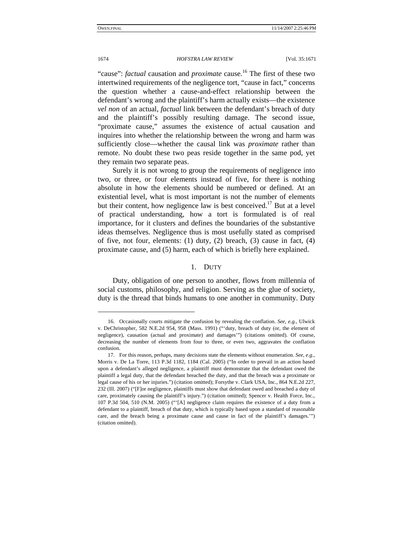"cause": *factual* causation and *proximate* cause.<sup>16</sup> The first of these two intertwined requirements of the negligence tort, "cause in fact," concerns the question whether a cause-and-effect relationship between the defendant's wrong and the plaintiff's harm actually exists—the existence *vel non* of an actual, *factual* link between the defendant's breach of duty and the plaintiff's possibly resulting damage. The second issue, "proximate cause," assumes the existence of actual causation and inquires into whether the relationship between the wrong and harm was sufficiently close—whether the causal link was *proximate* rather than remote. No doubt these two peas reside together in the same pod, yet they remain two separate peas.

Surely it is not wrong to group the requirements of negligence into two, or three, or four elements instead of five, for there is nothing absolute in how the elements should be numbered or defined. At an existential level, what is most important is not the number of elements but their content, how negligence law is best conceived.<sup>17</sup> But at a level of practical understanding, how a tort is formulated is of real importance, for it clusters and defines the boundaries of the substantive ideas themselves. Negligence thus is most usefully stated as comprised of five, not four, elements: (1) duty, (2) breach, (3) cause in fact, (4) proximate cause, and (5) harm, each of which is briefly here explained.

# 1. DUTY

Duty, obligation of one person to another, flows from millennia of social customs, philosophy, and religion. Serving as the glue of society, duty is the thread that binds humans to one another in community. Duty

 $\overline{a}$ 

 <sup>16.</sup> Occasionally courts mitigate the confusion by revealing the conflation. *See, e.g.*, Ulwick v. DeChristopher, 582 N.E.2d 954, 958 (Mass. 1991) ("'duty, breach of duty (or, the element of negligence), causation (actual and proximate) and damages'") (citations omitted). Of course, decreasing the number of elements from four to three, or even two, aggravates the conflation confusion.

 <sup>17.</sup> For this reason, perhaps, many decisions state the elements without enumeration. *See, e.g.*, Morris v. De La Torre, 113 P.3d 1182, 1184 (Cal. 2005) ("In order to prevail in an action based upon a defendant's alleged negligence, a plaintiff must demonstrate that the defendant owed the plaintiff a legal duty, that the defendant breached the duty, and that the breach was a proximate or legal cause of his or her injuries.") (citation omitted); Forsythe v. Clark USA, Inc., 864 N.E.2d 227, 232 (Ill. 2007) ("[F]or negligence, plaintiffs must show that defendant owed and breached a duty of care, proximately causing the plaintiff's injury.") (citation omitted); Spencer v. Health Force, Inc., 107 P.3d 504, 510 (N.M. 2005) ("'[A] negligence claim requires the existence of a duty from a defendant to a plaintiff, breach of that duty, which is typically based upon a standard of reasonable care, and the breach being a proximate cause and cause in fact of the plaintiff's damages.'") (citation omitted).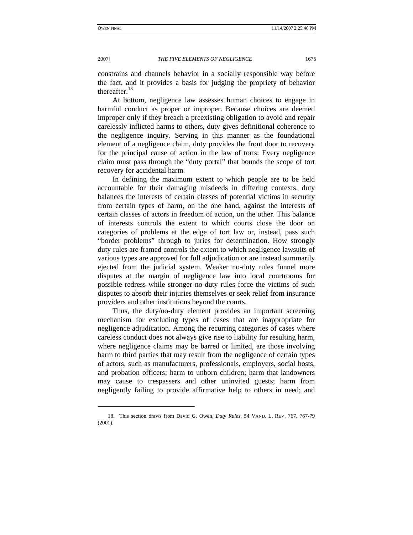2007] *THE FIVE ELEMENTS OF NEGLIGENCE* 1675

constrains and channels behavior in a socially responsible way before the fact, and it provides a basis for judging the propriety of behavior thereafter.<sup>18</sup>

At bottom, negligence law assesses human choices to engage in harmful conduct as proper or improper. Because choices are deemed improper only if they breach a preexisting obligation to avoid and repair carelessly inflicted harms to others, duty gives definitional coherence to the negligence inquiry. Serving in this manner as the foundational element of a negligence claim, duty provides the front door to recovery for the principal cause of action in the law of torts: Every negligence claim must pass through the "duty portal" that bounds the scope of tort recovery for accidental harm.

In defining the maximum extent to which people are to be held accountable for their damaging misdeeds in differing contexts, duty balances the interests of certain classes of potential victims in security from certain types of harm, on the one hand, against the interests of certain classes of actors in freedom of action, on the other. This balance of interests controls the extent to which courts close the door on categories of problems at the edge of tort law or, instead, pass such "border problems" through to juries for determination. How strongly duty rules are framed controls the extent to which negligence lawsuits of various types are approved for full adjudication or are instead summarily ejected from the judicial system. Weaker no-duty rules funnel more disputes at the margin of negligence law into local courtrooms for possible redress while stronger no-duty rules force the victims of such disputes to absorb their injuries themselves or seek relief from insurance providers and other institutions beyond the courts.

Thus, the duty/no-duty element provides an important screening mechanism for excluding types of cases that are inappropriate for negligence adjudication. Among the recurring categories of cases where careless conduct does not always give rise to liability for resulting harm, where negligence claims may be barred or limited, are those involving harm to third parties that may result from the negligence of certain types of actors, such as manufacturers, professionals, employers, social hosts, and probation officers; harm to unborn children; harm that landowners may cause to trespassers and other uninvited guests; harm from negligently failing to provide affirmative help to others in need; and

 <sup>18.</sup> This section draws from David G. Owen, *Duty Rules*, 54 VAND. L. REV. 767, 767-79 (2001).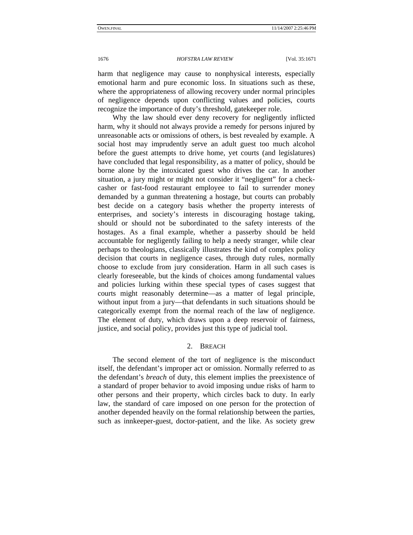harm that negligence may cause to nonphysical interests, especially emotional harm and pure economic loss. In situations such as these, where the appropriateness of allowing recovery under normal principles of negligence depends upon conflicting values and policies, courts recognize the importance of duty's threshold, gatekeeper role.

Why the law should ever deny recovery for negligently inflicted harm, why it should not always provide a remedy for persons injured by unreasonable acts or omissions of others, is best revealed by example. A social host may imprudently serve an adult guest too much alcohol before the guest attempts to drive home, yet courts (and legislatures) have concluded that legal responsibility, as a matter of policy, should be borne alone by the intoxicated guest who drives the car. In another situation, a jury might or might not consider it "negligent" for a checkcasher or fast-food restaurant employee to fail to surrender money demanded by a gunman threatening a hostage, but courts can probably best decide on a category basis whether the property interests of enterprises, and society's interests in discouraging hostage taking, should or should not be subordinated to the safety interests of the hostages. As a final example, whether a passerby should be held accountable for negligently failing to help a needy stranger, while clear perhaps to theologians, classically illustrates the kind of complex policy decision that courts in negligence cases, through duty rules, normally choose to exclude from jury consideration. Harm in all such cases is clearly foreseeable, but the kinds of choices among fundamental values and policies lurking within these special types of cases suggest that courts might reasonably determine—as a matter of legal principle, without input from a jury—that defendants in such situations should be categorically exempt from the normal reach of the law of negligence. The element of duty, which draws upon a deep reservoir of fairness, justice, and social policy, provides just this type of judicial tool.

# 2. BREACH

The second element of the tort of negligence is the misconduct itself, the defendant's improper act or omission. Normally referred to as the defendant's *breach* of duty, this element implies the preexistence of a standard of proper behavior to avoid imposing undue risks of harm to other persons and their property, which circles back to duty. In early law, the standard of care imposed on one person for the protection of another depended heavily on the formal relationship between the parties, such as innkeeper-guest, doctor-patient, and the like. As society grew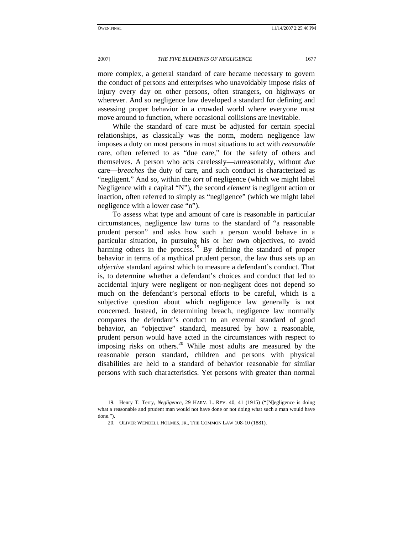#### 2007] *THE FIVE ELEMENTS OF NEGLIGENCE* 1677

more complex, a general standard of care became necessary to govern the conduct of persons and enterprises who unavoidably impose risks of injury every day on other persons, often strangers, on highways or wherever. And so negligence law developed a standard for defining and assessing proper behavior in a crowded world where everyone must move around to function, where occasional collisions are inevitable.

While the standard of care must be adjusted for certain special relationships, as classically was the norm, modern negligence law imposes a duty on most persons in most situations to act with *reasonable* care, often referred to as "due care," for the safety of others and themselves. A person who acts carelessly—*un*reasonably, without *due* care—*breaches* the duty of care, and such conduct is characterized as "negligent." And so, within the *tort* of negligence (which we might label Negligence with a capital "N"), the second *element* is negligent action or inaction, often referred to simply as "negligence" (which we might label negligence with a lower case "n").

To assess what type and amount of care is reasonable in particular circumstances, negligence law turns to the standard of "a reasonable prudent person" and asks how such a person would behave in a particular situation, in pursuing his or her own objectives, to avoid harming others in the process.<sup>19</sup> By defining the standard of proper behavior in terms of a mythical prudent person, the law thus sets up an *objective* standard against which to measure a defendant's conduct. That is, to determine whether a defendant's choices and conduct that led to accidental injury were negligent or non-negligent does not depend so much on the defendant's personal efforts to be careful, which is a subjective question about which negligence law generally is not concerned. Instead, in determining breach, negligence law normally compares the defendant's conduct to an external standard of good behavior, an "objective" standard, measured by how a reasonable, prudent person would have acted in the circumstances with respect to imposing risks on others.<sup>20</sup> While most adults are measured by the reasonable person standard, children and persons with physical disabilities are held to a standard of behavior reasonable for similar persons with such characteristics. Yet persons with greater than normal

 <sup>19.</sup> Henry T. Terry, *Negligence*, 29 HARV. L. REV. 40, 41 (1915) ("[N]egligence is doing what a reasonable and prudent man would not have done or not doing what such a man would have done.").

 <sup>20.</sup> OLIVER WENDELL HOLMES, JR., THE COMMON LAW 108-10 (1881).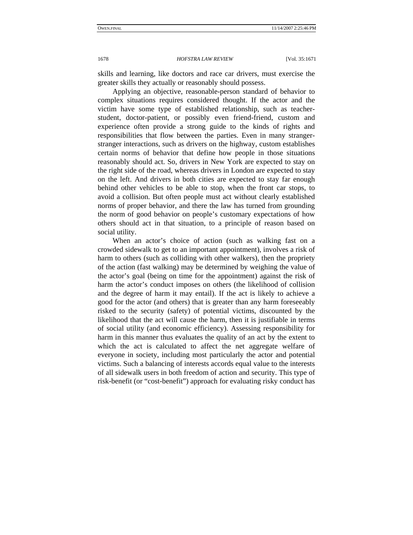skills and learning, like doctors and race car drivers, must exercise the greater skills they actually or reasonably should possess.

Applying an objective, reasonable-person standard of behavior to complex situations requires considered thought. If the actor and the victim have some type of established relationship, such as teacherstudent, doctor-patient, or possibly even friend-friend, custom and experience often provide a strong guide to the kinds of rights and responsibilities that flow between the parties. Even in many strangerstranger interactions, such as drivers on the highway, custom establishes certain norms of behavior that define how people in those situations reasonably should act. So, drivers in New York are expected to stay on the right side of the road, whereas drivers in London are expected to stay on the left. And drivers in both cities are expected to stay far enough behind other vehicles to be able to stop, when the front car stops, to avoid a collision. But often people must act without clearly established norms of proper behavior, and there the law has turned from grounding the norm of good behavior on people's customary expectations of how others should act in that situation, to a principle of reason based on social utility.

When an actor's choice of action (such as walking fast on a crowded sidewalk to get to an important appointment), involves a risk of harm to others (such as colliding with other walkers), then the propriety of the action (fast walking) may be determined by weighing the value of the actor's goal (being on time for the appointment) against the risk of harm the actor's conduct imposes on others (the likelihood of collision and the degree of harm it may entail). If the act is likely to achieve a good for the actor (and others) that is greater than any harm foreseeably risked to the security (safety) of potential victims, discounted by the likelihood that the act will cause the harm, then it is justifiable in terms of social utility (and economic efficiency). Assessing responsibility for harm in this manner thus evaluates the quality of an act by the extent to which the act is calculated to affect the net aggregate welfare of everyone in society, including most particularly the actor and potential victims. Such a balancing of interests accords equal value to the interests of all sidewalk users in both freedom of action and security. This type of risk-benefit (or "cost-benefit") approach for evaluating risky conduct has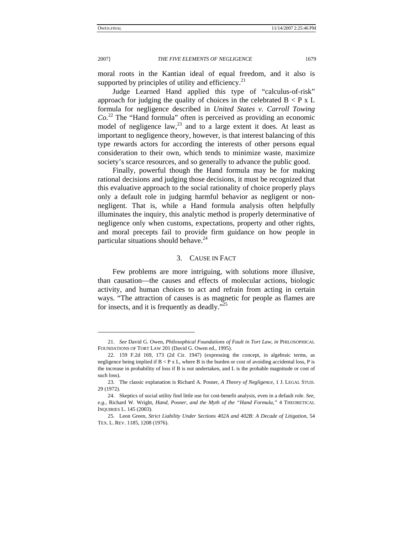2007] *THE FIVE ELEMENTS OF NEGLIGENCE* 1679

moral roots in the Kantian ideal of equal freedom, and it also is supported by principles of utility and efficiency. $21$ 

Judge Learned Hand applied this type of "calculus-of-risk" approach for judging the quality of choices in the celebrated  $B < P \times L$ formula for negligence described in *United States v. Carroll Towing Co.*22 The "Hand formula" often is perceived as providing an economic model of negligence law,  $^{23}$  and to a large extent it does. At least as important to negligence theory, however, is that interest balancing of this type rewards actors for according the interests of other persons equal consideration to their own, which tends to minimize waste, maximize society's scarce resources, and so generally to advance the public good.

Finally, powerful though the Hand formula may be for making rational decisions and judging those decisions, it must be recognized that this evaluative approach to the social rationality of choice properly plays only a default role in judging harmful behavior as negligent or nonnegligent. That is, while a Hand formula analysis often helpfully illuminates the inquiry, this analytic method is properly determinative of negligence only when customs, expectations, property and other rights, and moral precepts fail to provide firm guidance on how people in particular situations should behave. $^{24}$ 

#### 3. CAUSE IN FACT

Few problems are more intriguing, with solutions more illusive, than causation—the causes and effects of molecular actions, biologic activity, and human choices to act and refrain from acting in certain ways. "The attraction of causes is as magnetic for people as flames are for insects, and it is frequently as deadly."<sup>25</sup>

<sup>21.</sup> *See* David G. Owen, *Philosophical Foundations of Fault in Tort Law*, *in* PHILOSOPHICAL FOUNDATIONS OF TORT LAW 201 (David G. Owen ed., 1995).

 <sup>22. 159</sup> F.2d 169, 173 (2d Cir. 1947) (expressing the concept, in algebraic terms, as negligence being implied if  $B < P \times I$ , where B is the burden or cost of avoiding accidental loss, P is the increase in probability of loss if B is not undertaken, and L is the probable magnitude or cost of such loss).

 <sup>23.</sup> The classic explanation is Richard A. Posner, *A Theory of Negligence*, 1 J. LEGAL STUD. 29 (1972).

 <sup>24.</sup> Skeptics of social utility find little use for cost-benefit analysis, even in a default role. *See, e.g.*, Richard W. Wright, *Hand, Posner, and the Myth of the "Hand Formula*,*"* 4 THEORETICAL INQUIRIES L. 145 (2003).

 <sup>25.</sup> Leon Green, *Strict Liability Under Sections 402A and 402B: A Decade of Litigation*, 54 TEX. L. REV. 1185, 1208 (1976).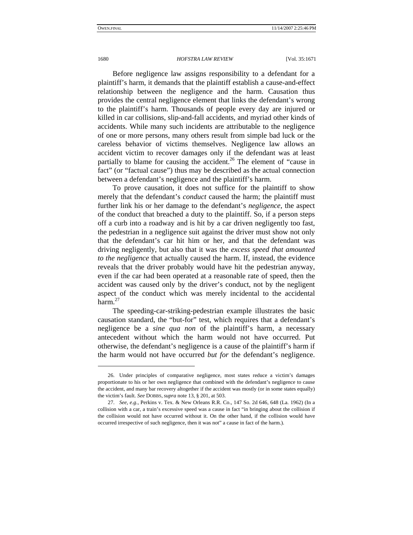#### 1680 *HOFSTRA LAW REVIEW* [Vol. 35:1671

Before negligence law assigns responsibility to a defendant for a plaintiff's harm, it demands that the plaintiff establish a cause-and-effect relationship between the negligence and the harm. Causation thus provides the central negligence element that links the defendant's wrong to the plaintiff's harm. Thousands of people every day are injured or killed in car collisions, slip-and-fall accidents, and myriad other kinds of accidents. While many such incidents are attributable to the negligence of one or more persons, many others result from simple bad luck or the careless behavior of victims themselves. Negligence law allows an accident victim to recover damages only if the defendant was at least partially to blame for causing the accident.<sup>26</sup> The element of "cause in fact" (or "factual cause") thus may be described as the actual connection between a defendant's negligence and the plaintiff's harm.

To prove causation, it does not suffice for the plaintiff to show merely that the defendant's *conduct* caused the harm; the plaintiff must further link his or her damage to the defendant's *negligence*, the aspect of the conduct that breached a duty to the plaintiff. So, if a person steps off a curb into a roadway and is hit by a car driven negligently too fast, the pedestrian in a negligence suit against the driver must show not only that the defendant's car hit him or her, and that the defendant was driving negligently, but also that it was the *excess speed that amounted to the negligence* that actually caused the harm. If, instead, the evidence reveals that the driver probably would have hit the pedestrian anyway, even if the car had been operated at a reasonable rate of speed, then the accident was caused only by the driver's conduct, not by the negligent aspect of the conduct which was merely incidental to the accidental harm. $27$ 

The speeding-car-striking-pedestrian example illustrates the basic causation standard, the "but-for" test, which requires that a defendant's negligence be a *sine qua non* of the plaintiff's harm, a necessary antecedent without which the harm would not have occurred. Put otherwise, the defendant's negligence is a cause of the plaintiff's harm if the harm would not have occurred *but for* the defendant's negligence.

 <sup>26.</sup> Under principles of comparative negligence, most states reduce a victim's damages proportionate to his or her own negligence that combined with the defendant's negligence to cause the accident, and many bar recovery altogether if the accident was mostly (or in some states equally) the victim's fault. *See* DOBBS, *supra* note 13, § 201, at 503.

<sup>27.</sup> *See, e.g.*, Perkins v. Tex. & New Orleans R.R. Co., 147 So. 2d 646, 648 (La. 1962) (In a collision with a car, a train's excessive speed was a cause in fact "in bringing about the collision if the collision would not have occurred without it. On the other hand, if the collision would have occurred irrespective of such negligence, then it was not" a cause in fact of the harm.).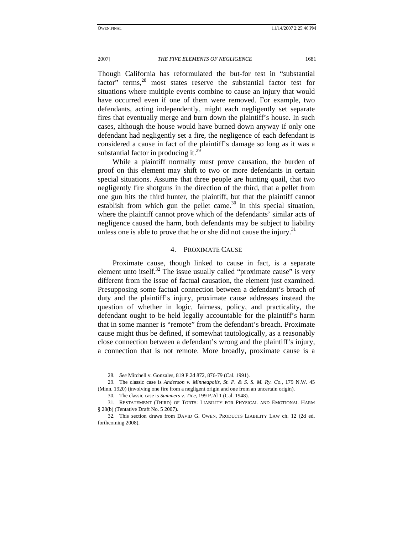#### 2007] *THE FIVE ELEMENTS OF NEGLIGENCE* 1681

Though California has reformulated the but-for test in "substantial factor" terms,<sup>28</sup> most states reserve the substantial factor test for situations where multiple events combine to cause an injury that would have occurred even if one of them were removed. For example, two defendants, acting independently, might each negligently set separate fires that eventually merge and burn down the plaintiff's house. In such cases, although the house would have burned down anyway if only one defendant had negligently set a fire, the negligence of each defendant is considered a cause in fact of the plaintiff's damage so long as it was a substantial factor in producing it. $^{29}$ 

While a plaintiff normally must prove causation, the burden of proof on this element may shift to two or more defendants in certain special situations. Assume that three people are hunting quail, that two negligently fire shotguns in the direction of the third, that a pellet from one gun hits the third hunter, the plaintiff, but that the plaintiff cannot establish from which gun the pellet came.<sup>30</sup> In this special situation, where the plaintiff cannot prove which of the defendants' similar acts of negligence caused the harm, both defendants may be subject to liability unless one is able to prove that he or she did not cause the injury.<sup>31</sup>

#### 4. PROXIMATE CAUSE

Proximate cause, though linked to cause in fact, is a separate element unto itself.<sup>32</sup> The issue usually called "proximate cause" is very different from the issue of factual causation, the element just examined. Presupposing some factual connection between a defendant's breach of duty and the plaintiff's injury, proximate cause addresses instead the question of whether in logic, fairness, policy, and practicality, the defendant ought to be held legally accountable for the plaintiff's harm that in some manner is "remote" from the defendant's breach. Proximate cause might thus be defined, if somewhat tautologically, as a reasonably close connection between a defendant's wrong and the plaintiff's injury, a connection that is not remote. More broadly, proximate cause is a

<sup>28.</sup> *See* Mitchell v. Gonzales, 819 P.2d 872, 876-79 (Cal. 1991).

 <sup>29.</sup> The classic case is *Anderson v. Minneapolis, St. P. & S. S. M. Ry. Co.*, 179 N.W. 45 (Minn. 1920) (involving one fire from a negligent origin and one from an uncertain origin).

 <sup>30.</sup> The classic case is *Summers v. Tice*, 199 P.2d 1 (Cal. 1948).

 <sup>31.</sup> RESTATEMENT (THIRD) OF TORTS: LIABILITY FOR PHYSICAL AND EMOTIONAL HARM § 28(b) (Tentative Draft No. 5 2007).

 <sup>32.</sup> This section draws from DAVID G. OWEN, PRODUCTS LIABILITY LAW ch. 12 (2d ed. forthcoming 2008).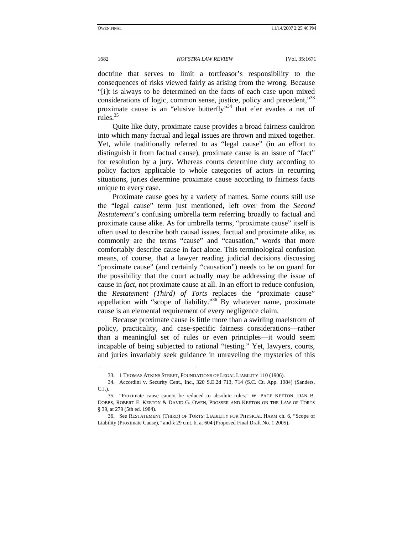doctrine that serves to limit a tortfeasor's responsibility to the consequences of risks viewed fairly as arising from the wrong. Because "[i]t is always to be determined on the facts of each case upon mixed considerations of logic, common sense, justice, policy and precedent,"33 proximate cause is an "elusive butterfly"34 that e'er evades a net of rules. $35$ 

Quite like duty, proximate cause provides a broad fairness cauldron into which many factual and legal issues are thrown and mixed together. Yet, while traditionally referred to as "legal cause" (in an effort to distinguish it from factual cause), proximate cause is an issue of "fact" for resolution by a jury. Whereas courts determine duty according to policy factors applicable to whole categories of actors in recurring situations, juries determine proximate cause according to fairness facts unique to every case.

Proximate cause goes by a variety of names. Some courts still use the "legal cause" term just mentioned, left over from the *Second Restatement*'s confusing umbrella term referring broadly to factual and proximate cause alike. As for umbrella terms, "proximate cause" itself is often used to describe both causal issues, factual and proximate alike, as commonly are the terms "cause" and "causation," words that more comfortably describe cause in fact alone. This terminological confusion means, of course, that a lawyer reading judicial decisions discussing "proximate cause" (and certainly "causation") needs to be on guard for the possibility that the court actually may be addressing the issue of cause in *fact*, not proximate cause at all. In an effort to reduce confusion, the *Restatement (Third) of Torts* replaces the "proximate cause" appellation with "scope of liability."<sup>36</sup> By whatever name, proximate cause is an elemental requirement of every negligence claim.

Because proximate cause is little more than a swirling maelstrom of policy, practicality, and case-specific fairness considerations—rather than a meaningful set of rules or even principles—it would seem incapable of being subjected to rational "testing." Yet, lawyers, courts, and juries invariably seek guidance in unraveling the mysteries of this

-

 <sup>33. 1</sup> THOMAS ATKINS STREET, FOUNDATIONS OF LEGAL LIABILITY 110 (1906).

 <sup>34.</sup> Accordini v. Security Cent., Inc., 320 S.E.2d 713, 714 (S.C. Ct. App. 1984) (Sanders,  $C.1$ 

 <sup>35. &</sup>quot;Proximate cause cannot be reduced to absolute rules." W. PAGE KEETON, DAN B. DOBBS, ROBERT E. KEETON & DAVID G. OWEN, PROSSER AND KEETON ON THE LAW OF TORTS § 39, at 279 (5th ed. 1984).

 <sup>36.</sup> See RESTATEMENT (THIRD) OF TORTS: LIABILITY FOR PHYSICAL HARM ch. 6, "Scope of Liability (Proximate Cause)," and § 29 cmt. b, at 604 (Proposed Final Draft No. 1 2005).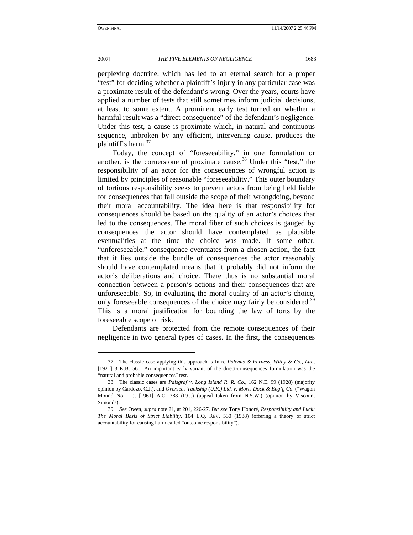### 2007] *THE FIVE ELEMENTS OF NEGLIGENCE* 1683

perplexing doctrine, which has led to an eternal search for a proper "test" for deciding whether a plaintiff's injury in any particular case was a proximate result of the defendant's wrong. Over the years, courts have applied a number of tests that still sometimes inform judicial decisions, at least to some extent. A prominent early test turned on whether a harmful result was a "direct consequence" of the defendant's negligence. Under this test, a cause is proximate which, in natural and continuous sequence, unbroken by any efficient, intervening cause, produces the plaintiff's harm. $37$ 

Today, the concept of "foreseeability," in one formulation or another, is the cornerstone of proximate cause.<sup>38</sup> Under this "test," the responsibility of an actor for the consequences of wrongful action is limited by principles of reasonable "foreseeability." This outer boundary of tortious responsibility seeks to prevent actors from being held liable for consequences that fall outside the scope of their wrongdoing, beyond their moral accountability. The idea here is that responsibility for consequences should be based on the quality of an actor's choices that led to the consequences. The moral fiber of such choices is gauged by consequences the actor should have contemplated as plausible eventualities at the time the choice was made. If some other, "unforeseeable," consequence eventuates from a chosen action, the fact that it lies outside the bundle of consequences the actor reasonably should have contemplated means that it probably did not inform the actor's deliberations and choice. There thus is no substantial moral connection between a person's actions and their consequences that are unforeseeable. So, in evaluating the moral quality of an actor's choice, only foreseeable consequences of the choice may fairly be considered.<sup>39</sup> This is a moral justification for bounding the law of torts by the foreseeable scope of risk.

Defendants are protected from the remote consequences of their negligence in two general types of cases. In the first, the consequences

 <sup>37.</sup> The classic case applying this approach is In re *Polemis & Furness, Withy & Co., Ltd.*, [1921] 3 K.B. 560. An important early variant of the direct-consequences formulation was the "natural and probable consequences" test.

 <sup>38.</sup> The classic cases are *Palsgraf v. Long Island R. R. Co.*, 162 N.E. 99 (1928) (majority opinion by Cardozo, C.J.), and *Overseas Tankship (U.K.) Ltd. v. Morts Dock & Eng'g Co.* ("Wagon Mound No. 1"), [1961] A.C. 388 (P.C.) (appeal taken from N.S.W.) (opinion by Viscount Simonds).

<sup>39.</sup> *See* Owen, *supra* note 21, at 201, 226-27. *But see* Tony Honoré, *Responsibility and Luck: The Moral Basis of Strict Liability*, 104 L.Q. REV. 530 (1988) (offering a theory of strict accountability for causing harm called "outcome responsibility").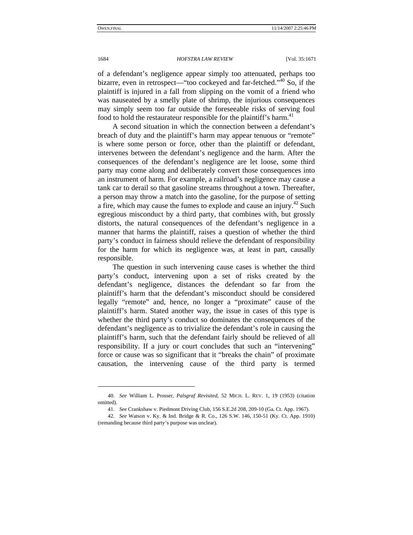of a defendant's negligence appear simply too attenuated, perhaps too bizarre, even in retrospect—"too cockeyed and far-fetched."<sup>40</sup> So, if the plaintiff is injured in a fall from slipping on the vomit of a friend who was nauseated by a smelly plate of shrimp, the injurious consequences may simply seem too far outside the foreseeable risks of serving foul food to hold the restaurateur responsible for the plaintiff's harm.<sup>41</sup>

A second situation in which the connection between a defendant's breach of duty and the plaintiff's harm may appear tenuous or "remote" is where some person or force, other than the plaintiff or defendant, intervenes between the defendant's negligence and the harm. After the consequences of the defendant's negligence are let loose, some third party may come along and deliberately convert those consequences into an instrument of harm. For example, a railroad's negligence may cause a tank car to derail so that gasoline streams throughout a town. Thereafter, a person may throw a match into the gasoline, for the purpose of setting a fire, which may cause the fumes to explode and cause an injury.<sup>42</sup> Such egregious misconduct by a third party, that combines with, but grossly distorts, the natural consequences of the defendant's negligence in a manner that harms the plaintiff, raises a question of whether the third party's conduct in fairness should relieve the defendant of responsibility for the harm for which its negligence was, at least in part, causally responsible.

The question in such intervening cause cases is whether the third party's conduct, intervening upon a set of risks created by the defendant's negligence, distances the defendant so far from the plaintiff's harm that the defendant's misconduct should be considered legally "remote" and, hence, no longer a "proximate" cause of the plaintiff's harm. Stated another way, the issue in cases of this type is whether the third party's conduct so dominates the consequences of the defendant's negligence as to trivialize the defendant's role in causing the plaintiff's harm, such that the defendant fairly should be relieved of all responsibility. If a jury or court concludes that such an "intervening" force or cause was so significant that it "breaks the chain" of proximate causation, the intervening cause of the third party is termed

-

<sup>40.</sup> *See* William L. Prosser, *Palsgraf Revisited*, 52 MICH. L. REV. 1, 19 (1953) (citation omitted).

<sup>41.</sup> *See* Crankshaw v. Piedmont Driving Club, 156 S.E.2d 208, 209-10 (Ga. Ct. App. 1967).

<sup>42.</sup> *See* Watson v. Ky. & Ind. Bridge & R. Co., 126 S.W. 146, 150-51 (Ky. Ct. App. 1910) (remanding because third party's purpose was unclear).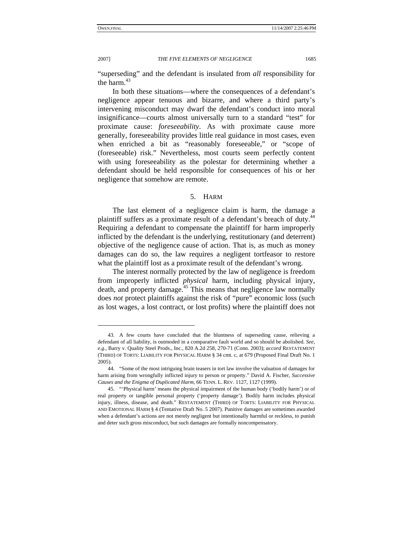2007] *THE FIVE ELEMENTS OF NEGLIGENCE* 1685

"superseding" and the defendant is insulated from *all* responsibility for the harm.<sup>43</sup>

In both these situations—where the consequences of a defendant's negligence appear tenuous and bizarre, and where a third party's intervening misconduct may dwarf the defendant's conduct into moral insignificance—courts almost universally turn to a standard "test" for proximate cause: *foreseeability*. As with proximate cause more generally, foreseeability provides little real guidance in most cases, even when enriched a bit as "reasonably foreseeable," or "scope of (foreseeable) risk." Nevertheless, most courts seem perfectly content with using foreseeability as the polestar for determining whether a defendant should be held responsible for consequences of his or her negligence that somehow are remote.

## 5. HARM

The last element of a negligence claim is harm, the damage a plaintiff suffers as a proximate result of a defendant's breach of duty.<sup>44</sup> Requiring a defendant to compensate the plaintiff for harm improperly inflicted by the defendant is the underlying, restitutionary (and deterrent) objective of the negligence cause of action. That is, as much as money damages can do so, the law requires a negligent tortfeasor to restore what the plaintiff lost as a proximate result of the defendant's wrong.

The interest normally protected by the law of negligence is freedom from improperly inflicted *physical* harm, including physical injury, death, and property damage.45 This means that negligence law normally does *not* protect plaintiffs against the risk of "pure" economic loss (such as lost wages, a lost contract, or lost profits) where the plaintiff does not

 <sup>43.</sup> A few courts have concluded that the bluntness of superseding cause, relieving a defendant of all liability, is outmoded in a comparative fault world and so should be abolished. *See, e.g.*, Barry v. Quality Steel Prods., Inc., 820 A.2d 258, 270-71 (Conn. 2003); *accord* RESTATEMENT (THIRD) OF TORTS: LIABILITY FOR PHYSICAL HARM § 34 cmt. c, at 679 (Proposed Final Draft No. 1 2005).

 <sup>44. &</sup>quot;Some of the most intriguing brain teasers in tort law involve the valuation of damages for harm arising from wrongfully inflicted injury to person or property." David A. Fischer, *Successive Causes and the Enigma of Duplicated Harm*, 66 TENN. L. REV. 1127, 1127 (1999).

 <sup>45. &</sup>quot;'Physical harm' means the physical impairment of the human body ('bodily harm') or of real property or tangible personal property ('property damage'). Bodily harm includes physical injury, illness, disease, and death." RESTATEMENT (THIRD) OF TORTS: LIABILITY FOR PHYSICAL AND EMOTIONAL HARM § 4 (Tentative Draft No. 5 2007). Punitive damages are sometimes awarded when a defendant's actions are not merely negligent but intentionally harmful or reckless, to punish and deter such gross misconduct, but such damages are formally noncompensatory.